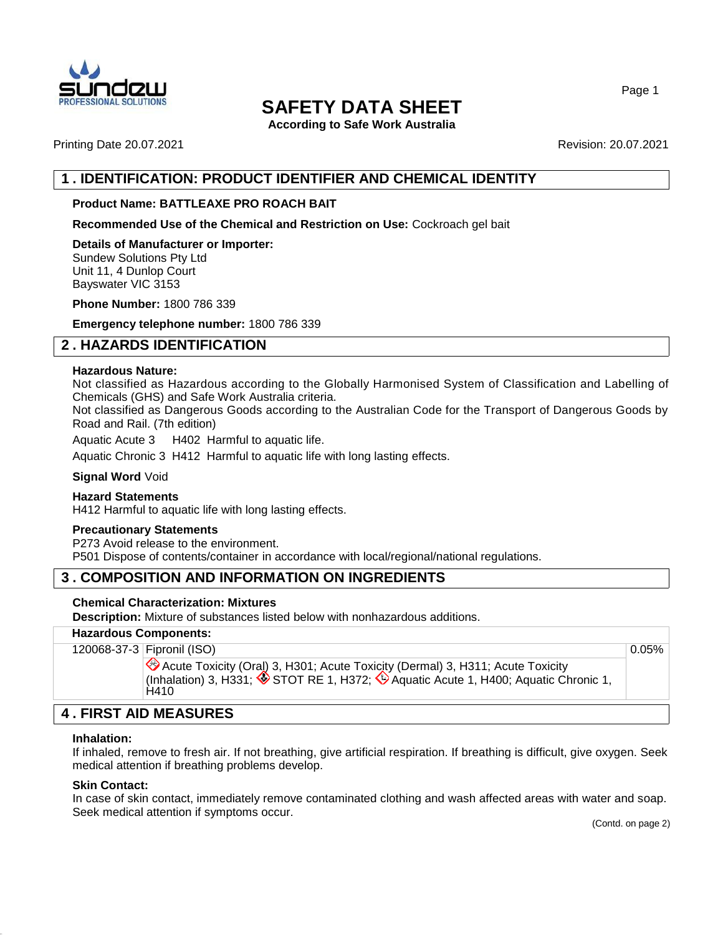

**According to Safe Work Australia**

Printing Date 20.07.2021 Revision: 20.07.2021

# **1 . IDENTIFICATION: PRODUCT IDENTIFIER AND CHEMICAL IDENTITY**

### **Product Name: BATTLEAXE PRO ROACH BAIT**

**Recommended Use of the Chemical and Restriction on Use:** Cockroach gel bait

**Details of Manufacturer or Importer:** Sundew Solutions Pty Ltd Unit 11, 4 Dunlop Court Bayswater VIC 3153

**Phone Number:** 1800 786 339

**Emergency telephone number:** 1800 786 339

# **2 . HAZARDS IDENTIFICATION**

### **Hazardous Nature:**

Not classified as Hazardous according to the Globally Harmonised System of Classification and Labelling of Chemicals (GHS) and Safe Work Australia criteria.

Not classified as Dangerous Goods according to the Australian Code for the Transport of Dangerous Goods by Road and Rail. (7th edition)

Aquatic Acute 3 H402 Harmful to aquatic life.

Aquatic Chronic 3 H412 Harmful to aquatic life with long lasting effects.

### **Signal Word** Void

### **Hazard Statements**

H412 Harmful to aquatic life with long lasting effects.

### **Precautionary Statements**

P273 Avoid release to the environment. P501 Dispose of contents/container in accordance with local/regional/national regulations.

# **3 . COMPOSITION AND INFORMATION ON INGREDIENTS**

### **Chemical Characterization: Mixtures**

**Description:** Mixture of substances listed below with nonhazardous additions.

### **Hazardous Components:**

| (Inhalation) 3, H331; STOT RE 1, H372; Aquatic Acute 1, H400; Aquatic Chronic 1,<br>H410<br><b>4. FIRST AID MEASURES</b> |          |
|--------------------------------------------------------------------------------------------------------------------------|----------|
| Acute Toxicity (Oral) 3, H301; Acute Toxicity (Dermal) 3, H311; Acute Toxicity                                           |          |
| 120068-37-3 Fipronil (ISO)                                                                                               | $0.05\%$ |
|                                                                                                                          |          |

### **Inhalation:**

If inhaled, remove to fresh air. If not breathing, give artificial respiration. If breathing is difficult, give oxygen. Seek medical attention if breathing problems develop.

### **Skin Contact:**

In case of skin contact, immediately remove contaminated clothing and wash affected areas with water and soap. Seek medical attention if symptoms occur.

(Contd. on page 2)

Page 1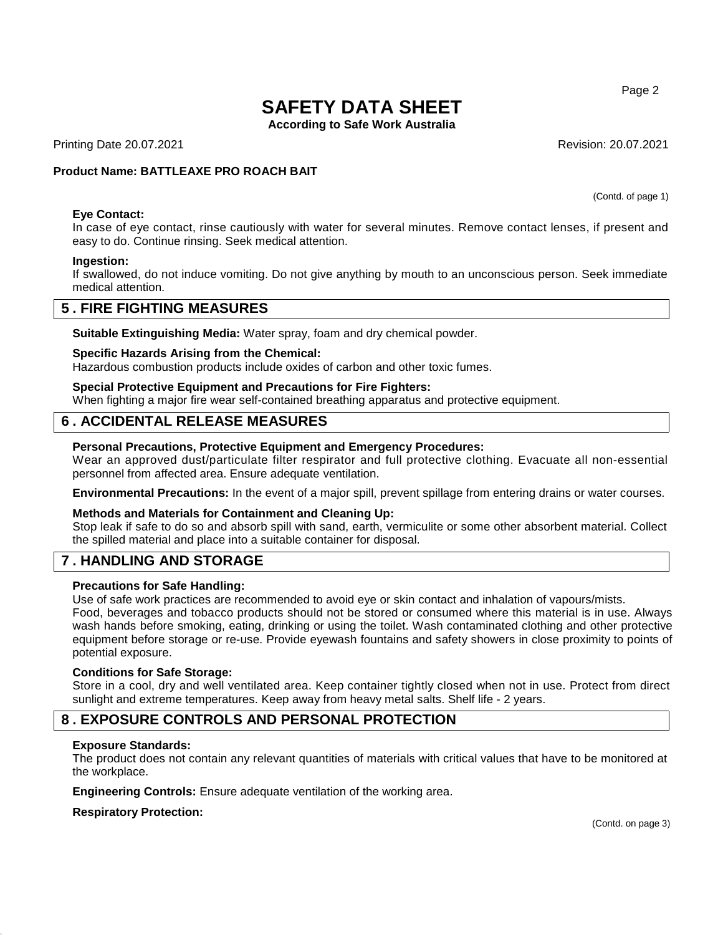**According to Safe Work Australia**

Printing Date 20.07.2021 Revision: 20.07.2021

### **Product Name: BATTLEAXE PRO ROACH BAIT**

### **Eye Contact:**

In case of eye contact, rinse cautiously with water for several minutes. Remove contact lenses, if present and easy to do. Continue rinsing. Seek medical attention.

### **Ingestion:**

If swallowed, do not induce vomiting. Do not give anything by mouth to an unconscious person. Seek immediate medical attention.

# **5 . FIRE FIGHTING MEASURES**

**Suitable Extinguishing Media:** Water spray, foam and dry chemical powder.

### **Specific Hazards Arising from the Chemical:**

Hazardous combustion products include oxides of carbon and other toxic fumes.

### **Special Protective Equipment and Precautions for Fire Fighters:**

When fighting a major fire wear self-contained breathing apparatus and protective equipment.

# **6 . ACCIDENTAL RELEASE MEASURES**

### **Personal Precautions, Protective Equipment and Emergency Procedures:**

Wear an approved dust/particulate filter respirator and full protective clothing. Evacuate all non-essential personnel from affected area. Ensure adequate ventilation.

**Environmental Precautions:** In the event of a major spill, prevent spillage from entering drains or water courses.

### **Methods and Materials for Containment and Cleaning Up:**

Stop leak if safe to do so and absorb spill with sand, earth, vermiculite or some other absorbent material. Collect the spilled material and place into a suitable container for disposal.

# **7 . HANDLING AND STORAGE**

### **Precautions for Safe Handling:**

Use of safe work practices are recommended to avoid eye or skin contact and inhalation of vapours/mists.

Food, beverages and tobacco products should not be stored or consumed where this material is in use. Always wash hands before smoking, eating, drinking or using the toilet. Wash contaminated clothing and other protective equipment before storage or re-use. Provide eyewash fountains and safety showers in close proximity to points of potential exposure.

### **Conditions for Safe Storage:**

Store in a cool, dry and well ventilated area. Keep container tightly closed when not in use. Protect from direct sunlight and extreme temperatures. Keep away from heavy metal salts. Shelf life - 2 years.

# **8 . EXPOSURE CONTROLS AND PERSONAL PROTECTION**

### **Exposure Standards:**

The product does not contain any relevant quantities of materials with critical values that have to be monitored at the workplace.

**Engineering Controls:** Ensure adequate ventilation of the working area.

### **Respiratory Protection:**

(Contd. on page 3)

Page 2

(Contd. of page 1)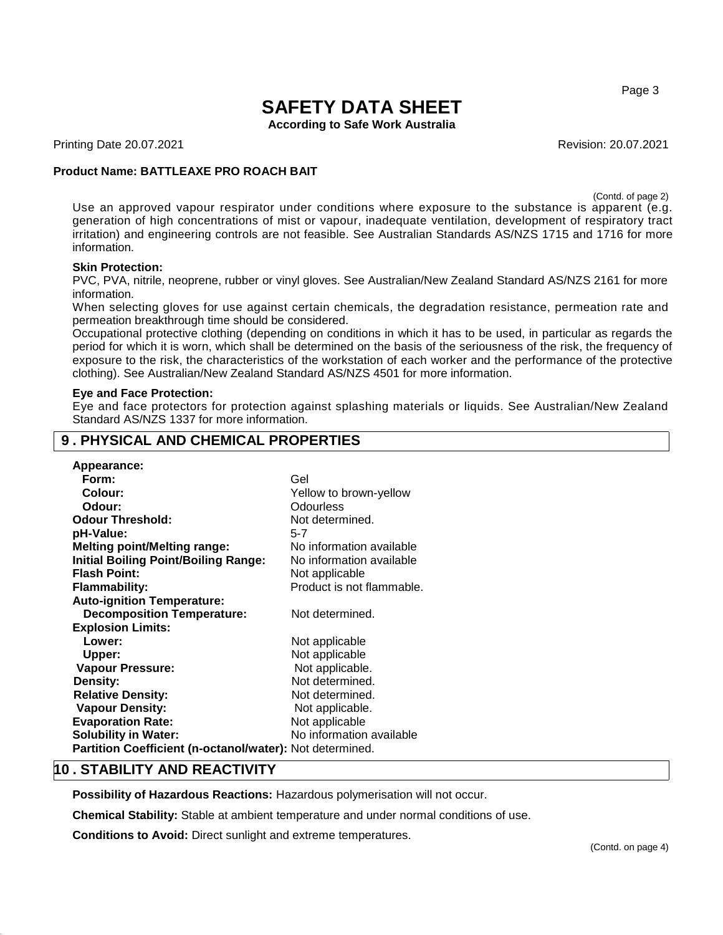Page 3

# **SAFETY DATA SHEET**

**According to Safe Work Australia**

Printing Date 20.07.2021 Revision: 20.07.2021

### **Product Name: BATTLEAXE PRO ROACH BAIT**

(Contd. of page 2)

Use an approved vapour respirator under conditions where exposure to the substance is apparent (e.g. generation of high concentrations of mist or vapour, inadequate ventilation, development of respiratory tract irritation) and engineering controls are not feasible. See Australian Standards AS/NZS 1715 and 1716 for more information.

### **Skin Protection:**

PVC, PVA, nitrile, neoprene, rubber or vinyl gloves. See Australian/New Zealand Standard AS/NZS 2161 for more information.

When selecting gloves for use against certain chemicals, the degradation resistance, permeation rate and permeation breakthrough time should be considered.

Occupational protective clothing (depending on conditions in which it has to be used, in particular as regards the period for which it is worn, which shall be determined on the basis of the seriousness of the risk, the frequency of exposure to the risk, the characteristics of the workstation of each worker and the performance of the protective clothing). See Australian/New Zealand Standard AS/NZS 4501 for more information.

### **Eye and Face Protection:**

Eye and face protectors for protection against splashing materials or liquids. See Australian/New Zealand Standard AS/NZS 1337 for more information.

# **9 . PHYSICAL AND CHEMICAL PROPERTIES**

| Appearance:                                              |                           |
|----------------------------------------------------------|---------------------------|
| Form:                                                    | Gel                       |
| Colour:                                                  | Yellow to brown-yellow    |
| Odour:                                                   | Odourless                 |
| <b>Odour Threshold:</b>                                  | Not determined.           |
| pH-Value:                                                | $5 - 7$                   |
| <b>Melting point/Melting range:</b>                      | No information available  |
| <b>Initial Boiling Point/Boiling Range:</b>              | No information available  |
| <b>Flash Point:</b>                                      | Not applicable            |
| <b>Flammability:</b>                                     | Product is not flammable. |
| <b>Auto-ignition Temperature:</b>                        |                           |
| <b>Decomposition Temperature:</b>                        | Not determined.           |
| <b>Explosion Limits:</b>                                 |                           |
| Lower:                                                   | Not applicable            |
| Upper:                                                   | Not applicable            |
| Vapour Pressure:                                         | Not applicable.           |
| Density:                                                 | Not determined.           |
| <b>Relative Density:</b>                                 | Not determined.           |
| <b>Vapour Density:</b>                                   | Not applicable.           |
| <b>Evaporation Rate:</b>                                 | Not applicable            |
| <b>Solubility in Water:</b>                              | No information available  |
| Partition Coefficient (n-octanol/water): Not determined. |                           |

# **10 . STABILITY AND REACTIVITY**

**Possibility of Hazardous Reactions:** Hazardous polymerisation will not occur.

**Chemical Stability:** Stable at ambient temperature and under normal conditions of use.

**Conditions to Avoid:** Direct sunlight and extreme temperatures.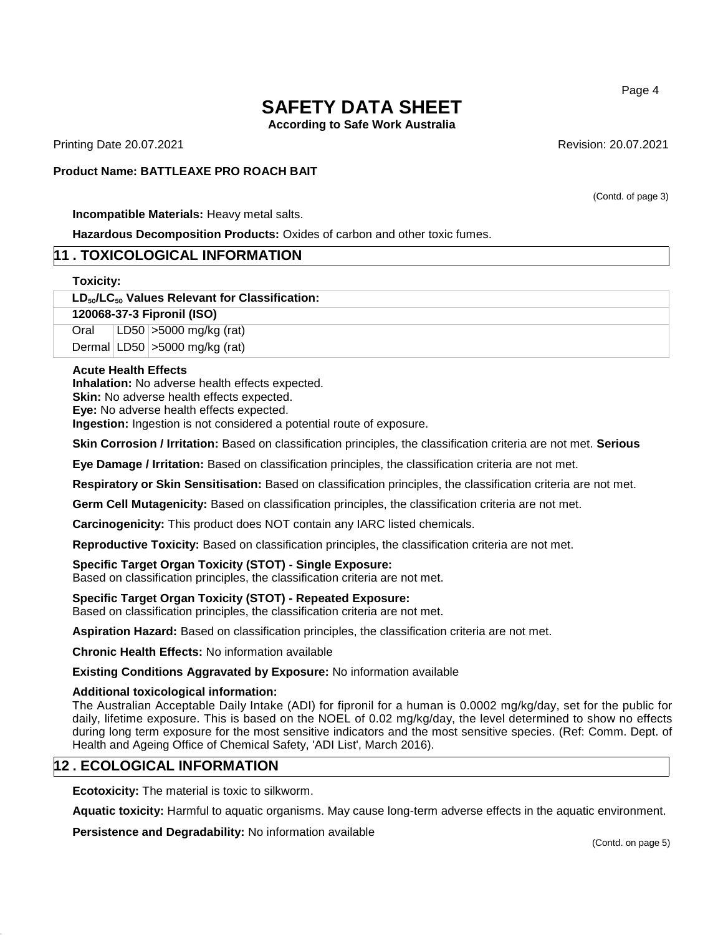**According to Safe Work Australia**

Printing Date 20.07.2021 Revision: 20.07.2021

### **Product Name: BATTLEAXE PRO ROACH BAIT**

**Incompatible Materials:** Heavy metal salts.

**Hazardous Decomposition Products:** Oxides of carbon and other toxic fumes.

# **11 . TOXICOLOGICAL INFORMATION**

### **Toxicity:**

**LD**₅₀**/LC**₅₀ **Values Relevant for Classification:**

**120068-37-3 Fipronil (ISO)**

**Oral** Dermal LD50 >5000 mg/kg (rat) LD50 >5000 mg/kg (rat)

### **Acute Health Effects**

**Inhalation:** No adverse health effects expected. **Skin:** No adverse health effects expected. **Eye:** No adverse health effects expected. **Ingestion:** Ingestion is not considered a potential route of exposure.

**Skin Corrosion / Irritation:** Based on classification principles, the classification criteria are not met. **Serious** 

**Eye Damage / Irritation:** Based on classification principles, the classification criteria are not met.

**Respiratory or Skin Sensitisation:** Based on classification principles, the classification criteria are not met.

**Germ Cell Mutagenicity:** Based on classification principles, the classification criteria are not met.

**Carcinogenicity:** This product does NOT contain any IARC listed chemicals.

**Reproductive Toxicity:** Based on classification principles, the classification criteria are not met.

### **Specific Target Organ Toxicity (STOT) - Single Exposure:**

Based on classification principles, the classification criteria are not met.

### **Specific Target Organ Toxicity (STOT) - Repeated Exposure:**

Based on classification principles, the classification criteria are not met.

**Aspiration Hazard:** Based on classification principles, the classification criteria are not met.

**Chronic Health Effects:** No information available

**Existing Conditions Aggravated by Exposure:** No information available

### **Additional toxicological information:**

The Australian Acceptable Daily Intake (ADI) for fipronil for a human is 0.0002 mg/kg/day, set for the public for daily, lifetime exposure. This is based on the NOEL of 0.02 mg/kg/day, the level determined to show no effects during long term exposure for the most sensitive indicators and the most sensitive species. (Ref: Comm. Dept. of Health and Ageing Office of Chemical Safety, 'ADI List', March 2016).

# **12 . ECOLOGICAL INFORMATION**

**Ecotoxicity:** The material is toxic to silkworm.

**Aquatic toxicity:** Harmful to aquatic organisms. May cause long-term adverse effects in the aquatic environment.

**Persistence and Degradability:** No information available

Page 4

(Contd. of page 3)